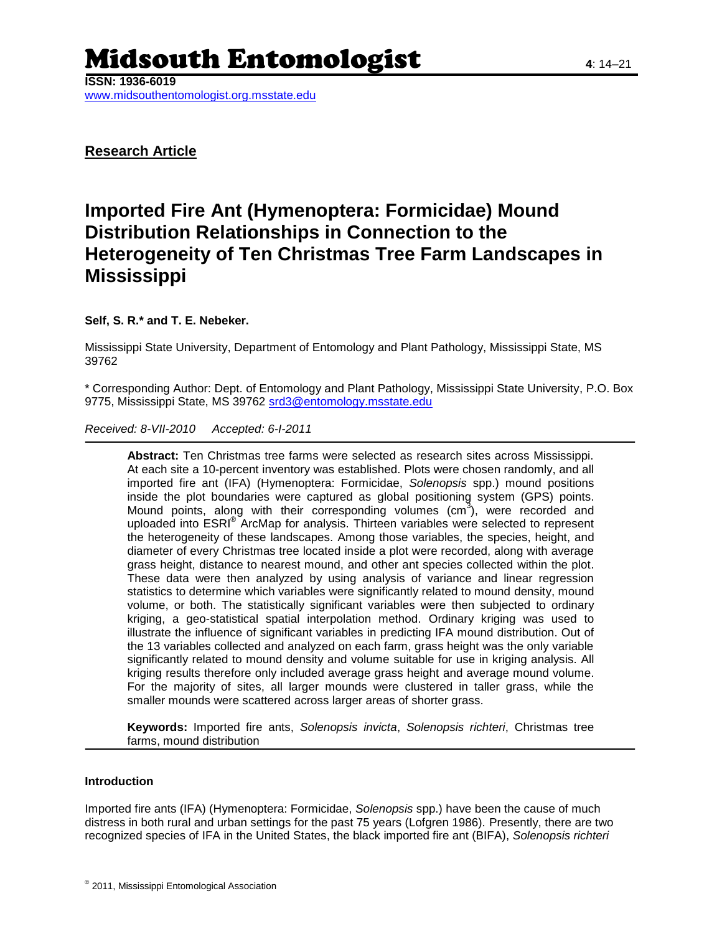# Midsouth Entomologist **<sup>4</sup>**: 14–21

**ISSN: 1936-6019** www.midsouthentomologist.org.msstate.edu

**Research Article**

## **Imported Fire Ant (Hymenoptera: Formicidae) Mound Distribution Relationships in Connection to the Heterogeneity of Ten Christmas Tree Farm Landscapes in Mississippi**

### **Self, S. R.\* and T. E. Nebeker.**

Mississippi State University, Department of Entomology and Plant Pathology, Mississippi State, MS 39762

\* Corresponding Author: Dept. of Entomology and Plant Pathology, Mississippi State University, P.O. Box 9775, Mississippi State, MS 39762 [srd3@entomology.msstate.edu](mailto:srd3@entomology.msstate.edu)

*Received: 8-VII-2010 Accepted: 6-I-2011*

**Abstract:** Ten Christmas tree farms were selected as research sites across Mississippi. At each site a 10-percent inventory was established. Plots were chosen randomly, and all imported fire ant (IFA) (Hymenoptera: Formicidae, *Solenopsis* spp.) mound positions inside the plot boundaries were captured as global positioning system (GPS) points. Mound points, along with their corresponding volumes (cm3), were recorded and uploaded into ESRI® ArcMap for analysis. Thirteen variables were selected to represent the heterogeneity of these landscapes. Among those variables, the species, height, and diameter of every Christmas tree located inside a plot were recorded, along with average grass height, distance to nearest mound, and other ant species collected within the plot. These data were then analyzed by using analysis of variance and linear regression statistics to determine which variables were significantly related to mound density, mound volume, or both. The statistically significant variables were then subjected to ordinary kriging, a geo-statistical spatial interpolation method. Ordinary kriging was used to illustrate the influence of significant variables in predicting IFA mound distribution. Out of the 13 variables collected and analyzed on each farm, grass height was the only variable significantly related to mound density and volume suitable for use in kriging analysis. All kriging results therefore only included average grass height and average mound volume. For the majority of sites, all larger mounds were clustered in taller grass, while the smaller mounds were scattered across larger areas of shorter grass.

**Keywords:** Imported fire ants, *Solenopsis invicta*, *Solenopsis richteri*, Christmas tree farms, mound distribution

#### **Introduction**

Imported fire ants (IFA) (Hymenoptera: Formicidae, *Solenopsis* spp.) have been the cause of much distress in both rural and urban settings for the past 75 years (Lofgren 1986). Presently, there are two recognized species of IFA in the United States, the black imported fire ant (BIFA), *Solenopsis richteri*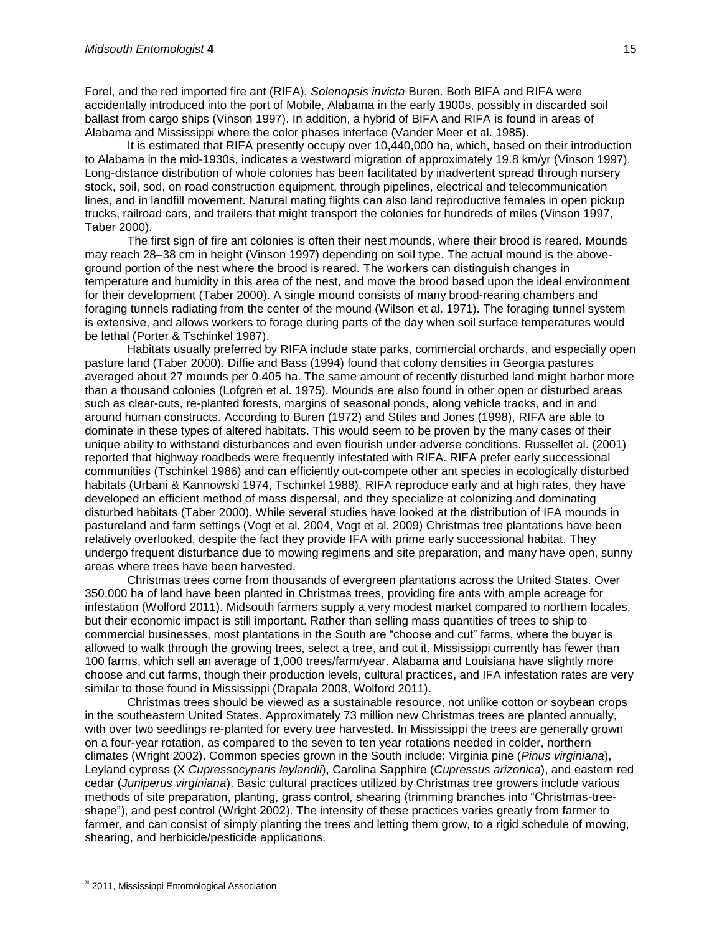Forel, and the red imported fire ant (RIFA), *Solenopsis invicta* Buren. Both BIFA and RIFA were accidentally introduced into the port of Mobile, Alabama in the early 1900s, possibly in discarded soil ballast from cargo ships (Vinson 1997). In addition, a hybrid of BIFA and RIFA is found in areas of Alabama and Mississippi where the color phases interface (Vander Meer et al. 1985).

It is estimated that RIFA presently occupy over 10,440,000 ha, which, based on their introduction to Alabama in the mid-1930s, indicates a westward migration of approximately 19.8 km/yr (Vinson 1997). Long-distance distribution of whole colonies has been facilitated by inadvertent spread through nursery stock, soil, sod, on road construction equipment, through pipelines, electrical and telecommunication lines, and in landfill movement. Natural mating flights can also land reproductive females in open pickup trucks, railroad cars, and trailers that might transport the colonies for hundreds of miles (Vinson 1997, Taber 2000).

The first sign of fire ant colonies is often their nest mounds, where their brood is reared. Mounds may reach 28–38 cm in height (Vinson 1997) depending on soil type. The actual mound is the aboveground portion of the nest where the brood is reared. The workers can distinguish changes in temperature and humidity in this area of the nest, and move the brood based upon the ideal environment for their development (Taber 2000). A single mound consists of many brood-rearing chambers and foraging tunnels radiating from the center of the mound (Wilson et al. 1971). The foraging tunnel system is extensive, and allows workers to forage during parts of the day when soil surface temperatures would be lethal (Porter & Tschinkel 1987).

Habitats usually preferred by RIFA include state parks, commercial orchards, and especially open pasture land (Taber 2000). Diffie and Bass (1994) found that colony densities in Georgia pastures averaged about 27 mounds per 0.405 ha. The same amount of recently disturbed land might harbor more than a thousand colonies (Lofgren et al. 1975). Mounds are also found in other open or disturbed areas such as clear-cuts, re-planted forests, margins of seasonal ponds, along vehicle tracks, and in and around human constructs. According to Buren (1972) and Stiles and Jones (1998), RIFA are able to dominate in these types of altered habitats. This would seem to be proven by the many cases of their unique ability to withstand disturbances and even flourish under adverse conditions. Russellet al. (2001) reported that highway roadbeds were frequently infestated with RIFA. RIFA prefer early successional communities (Tschinkel 1986) and can efficiently out-compete other ant species in ecologically disturbed habitats (Urbani & Kannowski 1974, Tschinkel 1988). RIFA reproduce early and at high rates, they have developed an efficient method of mass dispersal, and they specialize at colonizing and dominating disturbed habitats (Taber 2000). While several studies have looked at the distribution of IFA mounds in pastureland and farm settings (Vogt et al. 2004, Vogt et al. 2009) Christmas tree plantations have been relatively overlooked, despite the fact they provide IFA with prime early successional habitat. They undergo frequent disturbance due to mowing regimens and site preparation, and many have open, sunny areas where trees have been harvested.

Christmas trees come from thousands of evergreen plantations across the United States. Over 350,000 ha of land have been planted in Christmas trees, providing fire ants with ample acreage for infestation (Wolford 2011). Midsouth farmers supply a very modest market compared to northern locales, but their economic impact is still important. Rather than selling mass quantities of trees to ship to commercial businesses, most plantations in the South are "choose and cut" farms, where the buyer is allowed to walk through the growing trees, select a tree, and cut it. Mississippi currently has fewer than 100 farms, which sell an average of 1,000 trees/farm/year. Alabama and Louisiana have slightly more choose and cut farms, though their production levels, cultural practices, and IFA infestation rates are very similar to those found in Mississippi (Drapala 2008, Wolford 2011).

Christmas trees should be viewed as a sustainable resource, not unlike cotton or soybean crops in the southeastern United States. Approximately 73 million new Christmas trees are planted annually, with over two seedlings re-planted for every tree harvested. In Mississippi the trees are generally grown on a four-year rotation, as compared to the seven to ten year rotations needed in colder, northern climates (Wright 2002). Common species grown in the South include: Virginia pine (*Pinus virginiana*), Leyland cypress (X *Cupressocyparis leylandii*), Carolina Sapphire (*Cupressus arizonica*), and eastern red cedar (*Juniperus virginiana*). Basic cultural practices utilized by Christmas tree growers include various methods of site preparation, planting, grass control, shearing (trimming branches into "Christmas-treeshape"), and pest control (Wright 2002). The intensity of these practices varies greatly from farmer to farmer, and can consist of simply planting the trees and letting them grow, to a rigid schedule of mowing, shearing, and herbicide/pesticide applications.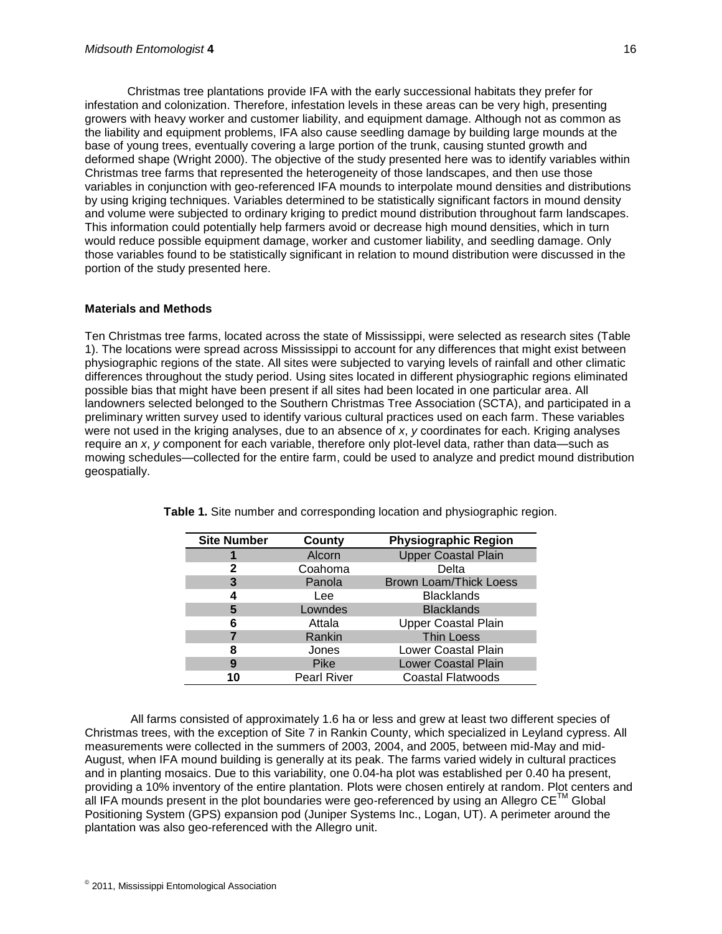Christmas tree plantations provide IFA with the early successional habitats they prefer for infestation and colonization. Therefore, infestation levels in these areas can be very high, presenting growers with heavy worker and customer liability, and equipment damage. Although not as common as the liability and equipment problems, IFA also cause seedling damage by building large mounds at the base of young trees, eventually covering a large portion of the trunk, causing stunted growth and deformed shape (Wright 2000). The objective of the study presented here was to identify variables within Christmas tree farms that represented the heterogeneity of those landscapes, and then use those variables in conjunction with geo-referenced IFA mounds to interpolate mound densities and distributions by using kriging techniques. Variables determined to be statistically significant factors in mound density and volume were subjected to ordinary kriging to predict mound distribution throughout farm landscapes. This information could potentially help farmers avoid or decrease high mound densities, which in turn would reduce possible equipment damage, worker and customer liability, and seedling damage. Only those variables found to be statistically significant in relation to mound distribution were discussed in the portion of the study presented here.

#### **Materials and Methods**

Ten Christmas tree farms, located across the state of Mississippi, were selected as research sites (Table 1). The locations were spread across Mississippi to account for any differences that might exist between physiographic regions of the state. All sites were subjected to varying levels of rainfall and other climatic differences throughout the study period. Using sites located in different physiographic regions eliminated possible bias that might have been present if all sites had been located in one particular area. All landowners selected belonged to the Southern Christmas Tree Association (SCTA), and participated in a preliminary written survey used to identify various cultural practices used on each farm. These variables were not used in the kriging analyses, due to an absence of *x*, *y* coordinates for each. Kriging analyses require an *x*, *y* component for each variable, therefore only plot-level data, rather than data—such as mowing schedules—collected for the entire farm, could be used to analyze and predict mound distribution geospatially.

| <b>Site Number</b> | County             | <b>Physiographic Region</b>   |
|--------------------|--------------------|-------------------------------|
|                    | Alcorn             | <b>Upper Coastal Plain</b>    |
| 2                  | Coahoma            | Delta                         |
| 3                  | Panola             | <b>Brown Loam/Thick Loess</b> |
| 4                  | Lee                | <b>Blacklands</b>             |
| 5                  | Lowndes            | <b>Blacklands</b>             |
| 6                  | Attala             | <b>Upper Coastal Plain</b>    |
|                    | Rankin             | <b>Thin Loess</b>             |
| 8                  | Jones              | Lower Coastal Plain           |
| 9                  | Pike               | <b>Lower Coastal Plain</b>    |
| 10                 | <b>Pearl River</b> | Coastal Flatwoods             |

**Table 1.** Site number and corresponding location and physiographic region.

All farms consisted of approximately 1.6 ha or less and grew at least two different species of Christmas trees, with the exception of Site 7 in Rankin County, which specialized in Leyland cypress. All measurements were collected in the summers of 2003, 2004, and 2005, between mid-May and mid-August, when IFA mound building is generally at its peak. The farms varied widely in cultural practices and in planting mosaics. Due to this variability, one 0.04-ha plot was established per 0.40 ha present, providing a 10% inventory of the entire plantation. Plots were chosen entirely at random. Plot centers and all IFA mounds present in the plot boundaries were geo-referenced by using an Allegro  $CE^{TM}$  Global Positioning System (GPS) expansion pod (Juniper Systems Inc., Logan, UT). A perimeter around the plantation was also geo-referenced with the Allegro unit.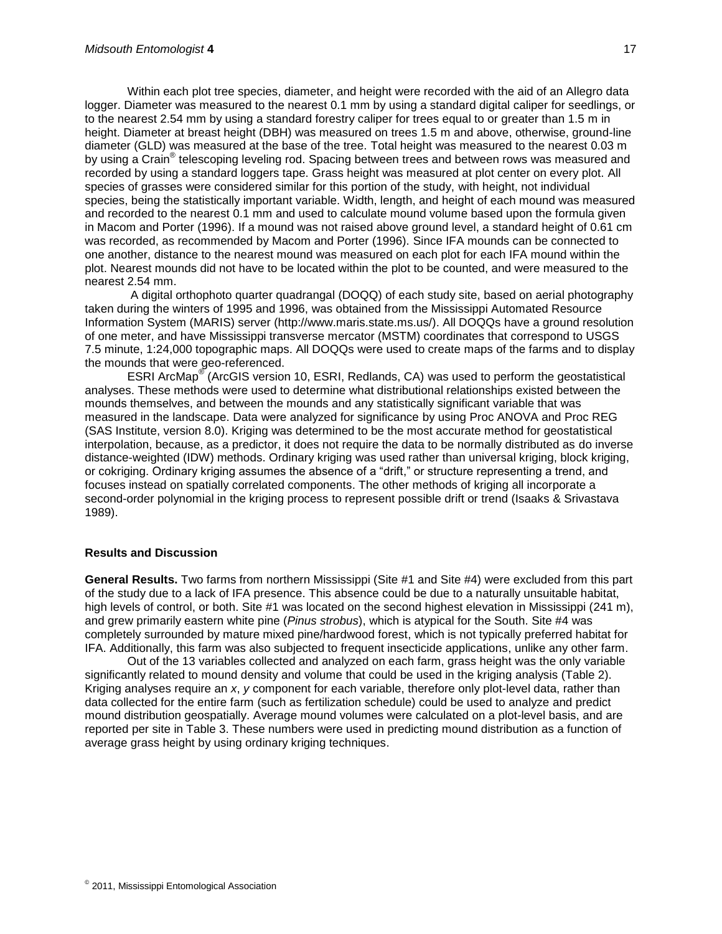Within each plot tree species, diameter, and height were recorded with the aid of an Allegro data logger. Diameter was measured to the nearest 0.1 mm by using a standard digital caliper for seedlings, or to the nearest 2.54 mm by using a standard forestry caliper for trees equal to or greater than 1.5 m in height. Diameter at breast height (DBH) was measured on trees 1.5 m and above, otherwise, ground-line diameter (GLD) was measured at the base of the tree. Total height was measured to the nearest 0.03 m by using a Crain® telescoping leveling rod. Spacing between trees and between rows was measured and recorded by using a standard loggers tape. Grass height was measured at plot center on every plot. All species of grasses were considered similar for this portion of the study, with height, not individual species, being the statistically important variable. Width, length, and height of each mound was measured and recorded to the nearest 0.1 mm and used to calculate mound volume based upon the formula given in Macom and Porter (1996). If a mound was not raised above ground level, a standard height of 0.61 cm was recorded, as recommended by Macom and Porter (1996). Since IFA mounds can be connected to one another, distance to the nearest mound was measured on each plot for each IFA mound within the plot. Nearest mounds did not have to be located within the plot to be counted, and were measured to the nearest 2.54 mm.

A digital orthophoto quarter quadrangal (DOQQ) of each study site, based on aerial photography taken during the winters of 1995 and 1996, was obtained from the Mississippi Automated Resource Information System (MARIS) server (http://www.maris.state.ms.us/). All DOQQs have a ground resolution of one meter, and have Mississippi transverse mercator (MSTM) coordinates that correspond to USGS 7.5 minute, 1:24,000 topographic maps. All DOQQs were used to create maps of the farms and to display the mounds that were geo-referenced.

ESRI ArcMap<sup>®</sup> (ArcGIS version 10, ESRI, Redlands, CA) was used to perform the geostatistical analyses. These methods were used to determine what distributional relationships existed between the mounds themselves, and between the mounds and any statistically significant variable that was measured in the landscape. Data were analyzed for significance by using Proc ANOVA and Proc REG (SAS Institute, version 8.0). Kriging was determined to be the most accurate method for geostatistical interpolation, because, as a predictor, it does not require the data to be normally distributed as do inverse distance-weighted (IDW) methods. Ordinary kriging was used rather than universal kriging, block kriging, or cokriging. Ordinary kriging assumes the absence of a "drift," or structure representing a trend, and focuses instead on spatially correlated components. The other methods of kriging all incorporate a second-order polynomial in the kriging process to represent possible drift or trend (Isaaks & Srivastava 1989).

#### **Results and Discussion**

**General Results.** Two farms from northern Mississippi (Site #1 and Site #4) were excluded from this part of the study due to a lack of IFA presence. This absence could be due to a naturally unsuitable habitat, high levels of control, or both. Site #1 was located on the second highest elevation in Mississippi (241 m). and grew primarily eastern white pine (*Pinus strobus*), which is atypical for the South. Site #4 was completely surrounded by mature mixed pine/hardwood forest, which is not typically preferred habitat for IFA. Additionally, this farm was also subjected to frequent insecticide applications, unlike any other farm.

Out of the 13 variables collected and analyzed on each farm, grass height was the only variable significantly related to mound density and volume that could be used in the kriging analysis (Table 2). Kriging analyses require an *x*, *y* component for each variable, therefore only plot-level data, rather than data collected for the entire farm (such as fertilization schedule) could be used to analyze and predict mound distribution geospatially. Average mound volumes were calculated on a plot-level basis, and are reported per site in Table 3. These numbers were used in predicting mound distribution as a function of average grass height by using ordinary kriging techniques.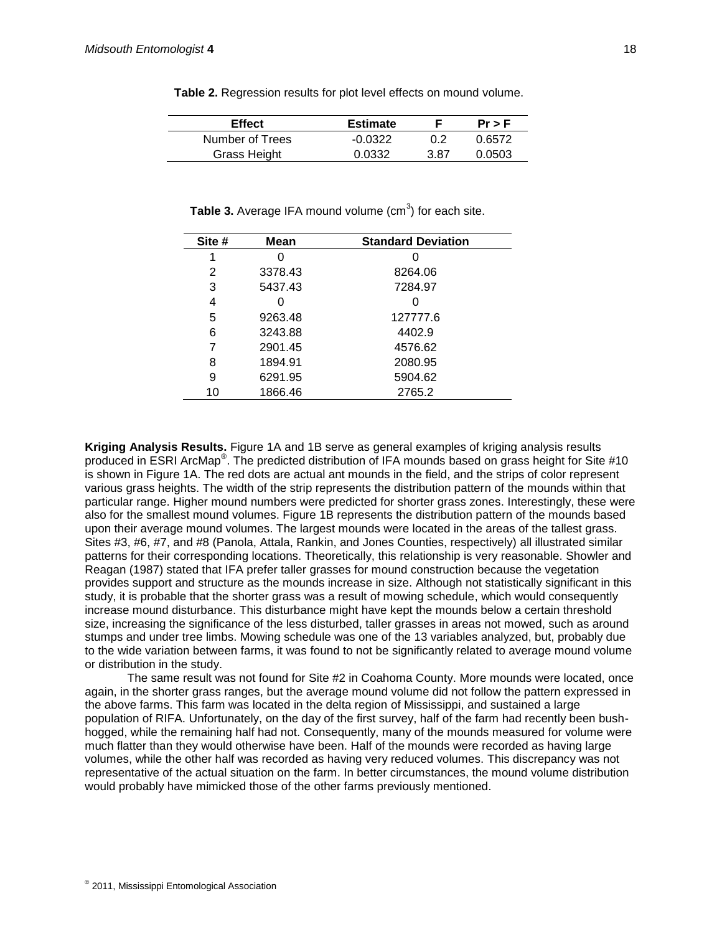| <b>Effect</b>   | <b>Estimate</b> |      | $Pr$ > F |
|-----------------|-----------------|------|----------|
| Number of Trees | $-0.0322$       | 0.2  | በ 6572   |
| Grass Height    | 0.0332          | 3.87 | 0.0503   |

**Table 2.** Regression results for plot level effects on mound volume.

| Site # | Mean    | <b>Standard Deviation</b> |
|--------|---------|---------------------------|
| 1      | 0       |                           |
| 2      | 3378.43 | 8264.06                   |
| 3      | 5437.43 | 7284.97                   |
| 4      |         |                           |
| 5      | 9263.48 | 127777.6                  |
| 6      | 3243.88 | 4402.9                    |
| 7      | 2901.45 | 4576.62                   |
| 8      | 1894.91 | 2080.95                   |
| 9      | 6291.95 | 5904.62                   |
| 10     | 1866.46 | 2765.2                    |

Table 3. Average IFA mound volume (cm<sup>3</sup>) for each site.

**Kriging Analysis Results.** Figure 1A and 1B serve as general examples of kriging analysis results produced in ESRI ArcMap® . The predicted distribution of IFA mounds based on grass height for Site #10 is shown in Figure 1A. The red dots are actual ant mounds in the field, and the strips of color represent various grass heights. The width of the strip represents the distribution pattern of the mounds within that particular range. Higher mound numbers were predicted for shorter grass zones. Interestingly, these were also for the smallest mound volumes. Figure 1B represents the distribution pattern of the mounds based upon their average mound volumes. The largest mounds were located in the areas of the tallest grass. Sites #3, #6, #7, and #8 (Panola, Attala, Rankin, and Jones Counties, respectively) all illustrated similar patterns for their corresponding locations. Theoretically, this relationship is very reasonable. Showler and Reagan (1987) stated that IFA prefer taller grasses for mound construction because the vegetation provides support and structure as the mounds increase in size. Although not statistically significant in this study, it is probable that the shorter grass was a result of mowing schedule, which would consequently increase mound disturbance. This disturbance might have kept the mounds below a certain threshold size, increasing the significance of the less disturbed, taller grasses in areas not mowed, such as around stumps and under tree limbs. Mowing schedule was one of the 13 variables analyzed, but, probably due to the wide variation between farms, it was found to not be significantly related to average mound volume or distribution in the study.

The same result was not found for Site #2 in Coahoma County. More mounds were located, once again, in the shorter grass ranges, but the average mound volume did not follow the pattern expressed in the above farms. This farm was located in the delta region of Mississippi, and sustained a large population of RIFA. Unfortunately, on the day of the first survey, half of the farm had recently been bushhogged, while the remaining half had not. Consequently, many of the mounds measured for volume were much flatter than they would otherwise have been. Half of the mounds were recorded as having large volumes, while the other half was recorded as having very reduced volumes. This discrepancy was not representative of the actual situation on the farm. In better circumstances, the mound volume distribution would probably have mimicked those of the other farms previously mentioned.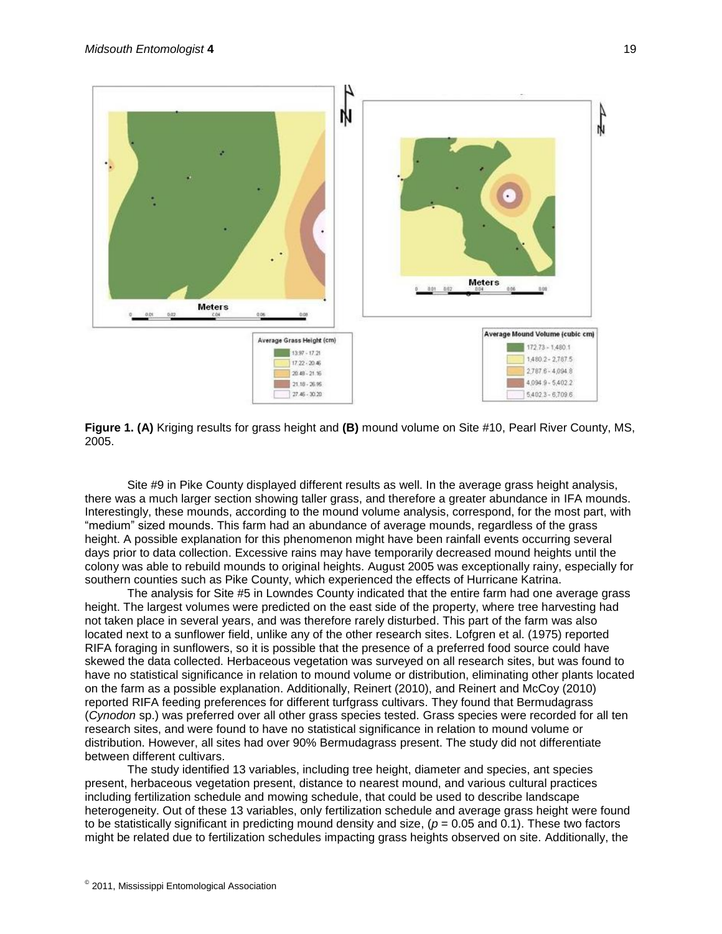

**Figure 1. (A)** Kriging results for grass height and **(B)** mound volume on Site #10, Pearl River County, MS, 2005.

Site #9 in Pike County displayed different results as well. In the average grass height analysis, there was a much larger section showing taller grass, and therefore a greater abundance in IFA mounds. Interestingly, these mounds, according to the mound volume analysis, correspond, for the most part, with "medium" sized mounds. This farm had an abundance of average mounds, regardless of the grass height. A possible explanation for this phenomenon might have been rainfall events occurring several days prior to data collection. Excessive rains may have temporarily decreased mound heights until the colony was able to rebuild mounds to original heights. August 2005 was exceptionally rainy, especially for southern counties such as Pike County, which experienced the effects of Hurricane Katrina.

The analysis for Site #5 in Lowndes County indicated that the entire farm had one average grass height. The largest volumes were predicted on the east side of the property, where tree harvesting had not taken place in several years, and was therefore rarely disturbed. This part of the farm was also located next to a sunflower field, unlike any of the other research sites. Lofgren et al. (1975) reported RIFA foraging in sunflowers, so it is possible that the presence of a preferred food source could have skewed the data collected. Herbaceous vegetation was surveyed on all research sites, but was found to have no statistical significance in relation to mound volume or distribution, eliminating other plants located on the farm as a possible explanation. Additionally, Reinert (2010), and Reinert and McCoy (2010) reported RIFA feeding preferences for different turfgrass cultivars. They found that Bermudagrass (*Cynodon* sp.) was preferred over all other grass species tested. Grass species were recorded for all ten research sites, and were found to have no statistical significance in relation to mound volume or distribution. However, all sites had over 90% Bermudagrass present. The study did not differentiate between different cultivars.

The study identified 13 variables, including tree height, diameter and species, ant species present, herbaceous vegetation present, distance to nearest mound, and various cultural practices including fertilization schedule and mowing schedule, that could be used to describe landscape heterogeneity. Out of these 13 variables, only fertilization schedule and average grass height were found to be statistically significant in predicting mound density and size,  $(p = 0.05$  and 0.1). These two factors might be related due to fertilization schedules impacting grass heights observed on site. Additionally, the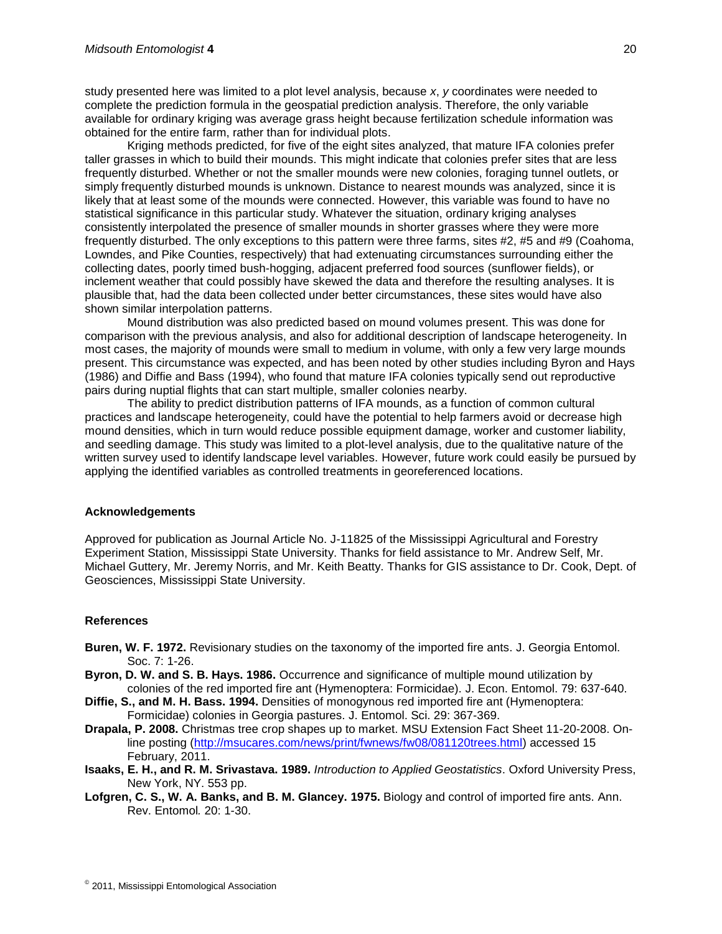study presented here was limited to a plot level analysis, because *x*, *y* coordinates were needed to complete the prediction formula in the geospatial prediction analysis. Therefore, the only variable available for ordinary kriging was average grass height because fertilization schedule information was obtained for the entire farm, rather than for individual plots.

Kriging methods predicted, for five of the eight sites analyzed, that mature IFA colonies prefer taller grasses in which to build their mounds. This might indicate that colonies prefer sites that are less frequently disturbed. Whether or not the smaller mounds were new colonies, foraging tunnel outlets, or simply frequently disturbed mounds is unknown. Distance to nearest mounds was analyzed, since it is likely that at least some of the mounds were connected. However, this variable was found to have no statistical significance in this particular study. Whatever the situation, ordinary kriging analyses consistently interpolated the presence of smaller mounds in shorter grasses where they were more frequently disturbed. The only exceptions to this pattern were three farms, sites #2, #5 and #9 (Coahoma, Lowndes, and Pike Counties, respectively) that had extenuating circumstances surrounding either the collecting dates, poorly timed bush-hogging, adjacent preferred food sources (sunflower fields), or inclement weather that could possibly have skewed the data and therefore the resulting analyses. It is plausible that, had the data been collected under better circumstances, these sites would have also shown similar interpolation patterns.

Mound distribution was also predicted based on mound volumes present. This was done for comparison with the previous analysis, and also for additional description of landscape heterogeneity. In most cases, the majority of mounds were small to medium in volume, with only a few very large mounds present. This circumstance was expected, and has been noted by other studies including Byron and Hays (1986) and Diffie and Bass (1994), who found that mature IFA colonies typically send out reproductive pairs during nuptial flights that can start multiple, smaller colonies nearby.

The ability to predict distribution patterns of IFA mounds, as a function of common cultural practices and landscape heterogeneity, could have the potential to help farmers avoid or decrease high mound densities, which in turn would reduce possible equipment damage, worker and customer liability, and seedling damage. This study was limited to a plot-level analysis, due to the qualitative nature of the written survey used to identify landscape level variables. However, future work could easily be pursued by applying the identified variables as controlled treatments in georeferenced locations.

#### **Acknowledgements**

Approved for publication as Journal Article No. J-11825 of the Mississippi Agricultural and Forestry Experiment Station, Mississippi State University. Thanks for field assistance to Mr. Andrew Self, Mr. Michael Guttery, Mr. Jeremy Norris, and Mr. Keith Beatty. Thanks for GIS assistance to Dr. Cook, Dept. of Geosciences, Mississippi State University.

#### **References**

- **Buren, W. F. 1972.** Revisionary studies on the taxonomy of the imported fire ants. J. Georgia Entomol. Soc. 7: 1-26.
- **Byron, D. W. and S. B. Hays. 1986.** Occurrence and significance of multiple mound utilization by colonies of the red imported fire ant (Hymenoptera: Formicidae). J. Econ. Entomol. 79: 637-640.
- **Diffie, S., and M. H. Bass. 1994.** Densities of monogynous red imported fire ant (Hymenoptera: Formicidae) colonies in Georgia pastures. J. Entomol. Sci. 29: 367-369.
- **Drapala, P. 2008.** Christmas tree crop shapes up to market. MSU Extension Fact Sheet 11-20-2008. Online posting [\(http://msucares.com/news/print/fwnews/fw08/081120trees.html\)](http://msucares.com/news/print/fwnews/fw08/081120trees.html) accessed 15 February, 2011.
- **Isaaks, E. H., and R. M. Srivastava. 1989.** *Introduction to Applied Geostatistics*. Oxford University Press, New York, NY. 553 pp.
- **Lofgren, C. S., W. A. Banks, and B. M. Glancey. 1975.** Biology and control of imported fire ants. Ann. Rev. Entomol*.* 20: 1-30.